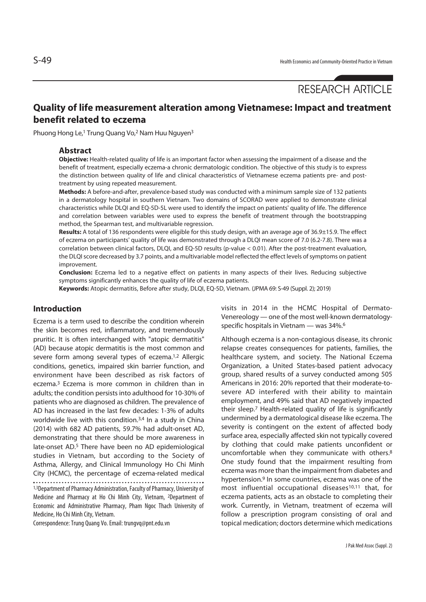# RESEARCH ARTICLE

# **Quality of life measurement alteration among Vietnamese: Impact and treatment benefit related to eczema**

Phuong Hong Le,<sup>1</sup> Trung Quang Vo,<sup>2</sup> Nam Huu Nguyen<sup>3</sup>

### **Abstract**

**Objective:** Health-related quality of life is an important factor when assessing the impairment of a disease and the benefit of treatment, especially eczema-a chronic dermatologic condition. The objective of this study is to express the distinction between quality of life and clinical characteristics of Vietnamese eczema patients pre- and posttreatment by using repeated measurement.

**Methods:** A before-and-after, prevalence-based study was conducted with a minimum sample size of 132 patients in a dermatology hospital in southern Vietnam. Two domains of SCORAD were applied to demonstrate clinical characteristics while DLQI and EQ-5D-5L were used to identify the impact on patients' quality of life. The difference and correlation between variables were used to express the benefit of treatment through the bootstrapping method, the Spearman test, and multivariable regression.

**Results:** A total of 136 respondents were eligible for this study design, with an average age of 36.9±15.9. The effect of eczema on participants' quality of life was demonstrated through a DLQI mean score of 7.0 (6.2-7.8). There was a correlation between clinical factors, DLQI, and EQ-5D results (p-value < 0.01). After the post-treatment evaluation, the DLQI score decreased by 3.7 points, and a multivariable model reflected the effect levels of symptoms on patient improvement.

**Conclusion:** Eczema led to a negative effect on patients in many aspects of their lives. Reducing subjective symptoms significantly enhances the quality of life of eczema patients.

**Keywords:** Atopic dermatitis, Before after study, DLQI, EQ-5D, Vietnam. (JPMA 69: S-49 (Suppl. 2); 2019)

# **Introduction**

Eczema is a term used to describe the condition wherein the skin becomes red, inflammatory, and tremendously pruritic. It is often interchanged with "atopic dermatitis" (AD) because atopic dermatitis is the most common and severe form among several types of eczema.<sup>1,2</sup> Allergic conditions, genetics, impaired skin barrier function, and environment have been described as risk factors of eczema.3 Eczema is more common in children than in adults; the condition persists into adulthood for 10-30% of patients who are diagnosed as children. The prevalence of AD has increased in the last few decades: 1-3% of adults worldwide live with this condition.3,4 In a study in China (2014) with 682 AD patients, 59.7% had adult-onset AD, demonstrating that there should be more awareness in late-onset AD.5 There have been no AD epidemiological studies in Vietnam, but according to the Society of Asthma, Allergy, and Clinical Immunology Ho Chi Minh City (HCMC), the percentage of eczema-related medical 1,3Department of Pharmacy Administration, Faculty of Pharmacy, University of Medicine and Pharmacy at Ho Chi Minh City, Vietnam, 2Department of Economic and Administrative Pharmacy, Pham Ngoc Thach University of Medicine, Ho Chi Minh City, Vietnam.

Correspondence: Trung Quang Vo. Email: trungvq@pnt.edu.vn

visits in 2014 in the HCMC Hospital of Dermato-Venereology — one of the most well-known dermatologyspecific hospitals in Vietnam — was 34%.6

Although eczema is a non-contagious disease, its chronic relapse creates consequences for patients, families, the healthcare system, and society. The National Eczema Organization, a United States-based patient advocacy group, shared results of a survey conducted among 505 Americans in 2016: 20% reported that their moderate-tosevere AD interfered with their ability to maintain employment, and 49% said that AD negatively impacted their sleep.7 Health-related quality of life is significantly undermined by a dermatological disease like eczema. The severity is contingent on the extent of affected body surface area, especially affected skin not typically covered by clothing that could make patients unconfident or uncomfortable when they communicate with others.8 One study found that the impairment resulting from eczema was more than the impairment from diabetes and hypertension.9 In some countries, eczema was one of the most influential occupational diseases<sup>10,11</sup> that, for eczema patients, acts as an obstacle to completing their work. Currently, in Vietnam, treatment of eczema will follow a prescription program consisting of oral and topical medication; doctors determine which medications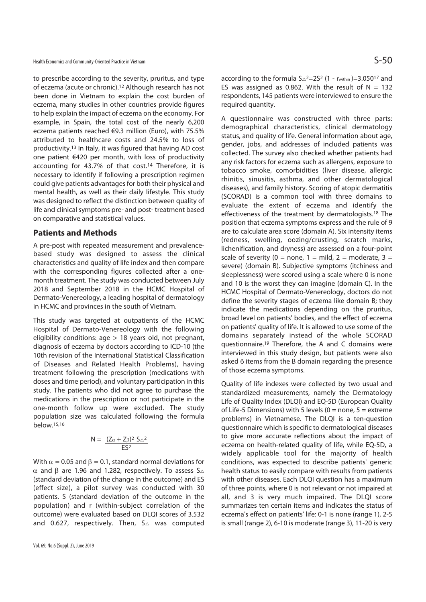Health Economics and Community-Oriented Practice in Vietnam  $\mathsf{S}\text{-}50$ 

to prescribe according to the severity, pruritus, and type of eczema (acute or chronic).12 Although research has not been done in Vietnam to explain the cost burden of eczema, many studies in other countries provide figures to help explain the impact of eczema on the economy. For example, in Spain, the total cost of the nearly 6,200 eczema patients reached €9.3 million (Euro), with 75.5% attributed to healthcare costs and 24.5% to loss of productivity.13 In Italy, it was figured that having AD cost one patient €420 per month, with loss of productivity accounting for 43.7% of that cost.14 Therefore, it is necessary to identify if following a prescription regimen could give patients advantages for both their physical and mental health, as well as their daily lifestyle. This study was designed to reflect the distinction between quality of life and clinical symptoms pre- and post- treatment based on comparative and statistical values.

### **Patients and Methods**

A pre-post with repeated measurement and prevalencebased study was designed to assess the clinical characteristics and quality of life index and then compare with the corresponding figures collected after a onemonth treatment. The study was conducted between July 2018 and September 2018 in the HCMC Hospital of Dermato-Venereology, a leading hospital of dermatology in HCMC and provinces in the south of Vietnam.

This study was targeted at outpatients of the HCMC Hospital of Dermato-Venereology with the following eligibility conditions: age  $\geq$  18 years old, not pregnant, diagnosis of eczema by doctors according to ICD-10 (the 10th revision of the International Statistical Classification of Diseases and Related Health Problems), having treatment following the prescription (medications with doses and time period), and voluntary participation in this study. The patients who did not agree to purchase the medications in the prescription or not participate in the one-month follow up were excluded. The study population size was calculated following the formula below.15,16

$$
N = \frac{(Z_{\alpha} + Z_{\beta})^2 S_{\triangle}^2}{ES^2}
$$

With  $\alpha$  = 0.05 and  $\beta$  = 0.1, standard normal deviations for α and β are 1.96 and 1.282, respectively. To assess S $\triangle$ (standard deviation of the change in the outcome) and ES (effect size), a pilot survey was conducted with 30 patients. S (standard deviation of the outcome in the population) and r (within-subject correlation of the outcome) were evaluated based on DLQI scores of 3.532 and 0.627, respectively. Then,  $S_{\triangle}$  was computed according to the formula  $S_{\triangle}$ <sup>2</sup>=2S<sup>2</sup> (1 - rwithin)=3.050<sup>17</sup> and ES was assigned as 0.862. With the result of  $N = 132$ respondents, 145 patients were interviewed to ensure the required quantity.

A questionnaire was constructed with three parts: demographical characteristics, clinical dermatology status, and quality of life. General information about age, gender, jobs, and addresses of included patients was collected. The survey also checked whether patients had any risk factors for eczema such as allergens, exposure to tobacco smoke, comorbidities (liver disease, allergic rhinitis, sinusitis, asthma, and other dermatological diseases), and family history. Scoring of atopic dermatitis (SCORAD) is a common tool with three domains to evaluate the extent of eczema and identify the effectiveness of the treatment by dermatologists.18 The position that eczema symptoms express and the rule of 9 are to calculate area score (domain A). Six intensity items (redness, swelling, oozing/crusting, scratch marks, lichenification, and dryness) are assessed on a four-point scale of severity (0 = none, 1 = mild, 2 = moderate, 3 = severe) (domain B). Subjective symptoms (itchiness and sleeplessness) were scored using a scale where 0 is none and 10 is the worst they can imagine (domain C). In the HCMC Hospital of Dermato-Venereology, doctors do not define the severity stages of eczema like domain B; they indicate the medications depending on the pruritus, broad level on patients' bodies, and the effect of eczema on patients' quality of life. It is allowed to use some of the domains separately instead of the whole SCORAD questionnaire.19 Therefore, the A and C domains were interviewed in this study design, but patients were also asked 6 items from the B domain regarding the presence of those eczema symptoms.

Quality of life indexes were collected by two usual and standardized measurements, namely the Dermatology Life of Quality Index (DLQI) and EQ-5D (European Quality of Life-5 Dimensions) with 5 levels ( $0 =$  none,  $5 =$  extreme problems) in Vietnamese. The DLQI is a ten-question questionnaire which is specific to dermatological diseases to give more accurate reflections about the impact of eczema on health-related quality of life, while EQ-5D, a widely applicable tool for the majority of health conditions, was expected to describe patients' generic health status to easily compare with results from patients with other diseases. Each DLQI question has a maximum of three points, where 0 is not relevant or not impaired at all, and 3 is very much impaired. The DLQI score summarizes ten certain items and indicates the status of eczema's effect on patients' life: 0-1 is none (range 1), 2-5 is small (range 2), 6-10 is moderate (range 3), 11-20 is very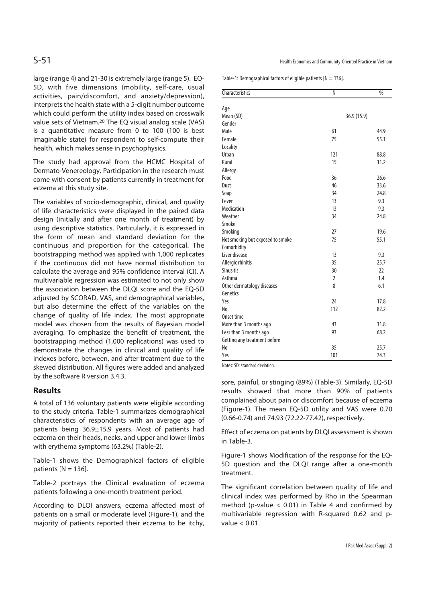large (range 4) and 21-30 is extremely large (range 5). EQ-5D, with five dimensions (mobility, self-care, usual activities, pain/discomfort, and anxiety/depression), interprets the health state with a 5-digit number outcome which could perform the utility index based on crosswalk value sets of Vietnam.20 The EQ visual analog scale (VAS) is a quantitative measure from 0 to 100 (100 is best imaginable state) for respondent to self-compute their health, which makes sense in psychophysics.

The study had approval from the HCMC Hospital of Dermato-Venereology. Participation in the research must come with consent by patients currently in treatment for eczema at this study site.

The variables of socio-demographic, clinical, and quality of life characteristics were displayed in the paired data design (initially and after one month of treatment) by using descriptive statistics. Particularly, it is expressed in the form of mean and standard deviation for the continuous and proportion for the categorical. The bootstrapping method was applied with 1,000 replicates if the continuous did not have normal distribution to calculate the average and 95% confidence interval (CI). A multivariable regression was estimated to not only show the association between the DLQI score and the EQ-5D adjusted by SCORAD, VAS, and demographical variables, but also determine the effect of the variables on the change of quality of life index. The most appropriate model was chosen from the results of Bayesian model averaging. To emphasize the benefit of treatment, the bootstrapping method (1,000 replications) was used to demonstrate the changes in clinical and quality of life indexes before, between, and after treatment due to the skewed distribution. All figures were added and analyzed by the software R version 3.4.3.

## **Results**

A total of 136 voluntary patients were eligible according to the study criteria. Table-1 summarizes demographical characteristics of respondents with an average age of patients being 36.9±15.9 years. Most of patients had eczema on their heads, necks, and upper and lower limbs with erythema symptoms (63.2%) (Table-2).

Table-1 shows the Demographical factors of eligible patients  $[N = 136]$ .

Table-2 portrays the Clinical evaluation of eczema patients following a one-month treatment period.

According to DLQI answers, eczema affected most of patients on a small or moderate level (Figure-1), and the majority of patients reported their eczema to be itchy,

Table-1: Demographical factors of eligible patients  $[N = 136]$ .

| Characteristics                  | $\overline{\mathsf{N}}$ | $\sqrt{96}$ |
|----------------------------------|-------------------------|-------------|
| Age                              |                         |             |
| Mean (SD)                        | 36.9 (15.9)             |             |
| Gender                           |                         |             |
| Male                             | 61                      | 44.9        |
| Female                           | 75                      | 55.1        |
| Locality                         |                         |             |
| Urban                            | 121                     | 88.8        |
| Rural                            | 15                      | 11.2        |
| Allergy                          |                         |             |
| Food                             | 36                      | 26.6        |
| Dust                             | 46                      | 33.6        |
| Soap                             | 34                      | 24.8        |
| Fever                            | 13                      | 9.3         |
| Medication                       | 13                      | 9.3         |
| Weather                          | 34                      | 24.8        |
| Smoke                            |                         |             |
| Smoking                          | 27                      | 19.6        |
| Not smoking but exposed to smoke | 75                      | 55.1        |
| Comorbidity                      |                         |             |
| Liver disease                    | 13                      | 9.3         |
| Allergic rhinitis                | 35                      | 25.7        |
| <b>Sinusitis</b>                 | 30                      | 22          |
| Asthma                           | $\overline{2}$          | 1.4         |
| Other dermatology diseases       | 8                       | 6.1         |
| Genetics                         |                         |             |
| Yes                              | 24                      | 17.8        |
| N <sub>0</sub>                   | 112                     | 82.2        |
| Onset time                       |                         |             |
| More than 3 months ago           | 43                      | 31.8        |
| Less than 3 months ago           | 93                      | 68.2        |
| Getting any treatment before     |                         |             |
| N <sub>0</sub>                   | 35                      | 25.7        |
| Yes                              | 101                     | 74.3        |

Notes: SD: standard deviation.

sore, painful, or stinging (89%) (Table-3). Similarly, EQ-5D results showed that more than 90% of patients complained about pain or discomfort because of eczema (Figure-1). The mean EQ-5D utility and VAS were 0.70 (0.66-0.74) and 74.93 (72.22-77.42), respectively.

Effect of eczema on patients by DLQI assessment is shown in Table-3.

Figure-1 shows Modification of the response for the EQ-5D question and the DLQI range after a one-month treatment.

The significant correlation between quality of life and clinical index was performed by Rho in the Spearman method (p-value  $< 0.01$ ) in Table 4 and confirmed by multivariable regression with R-squared 0.62 and pvalue < 0.01.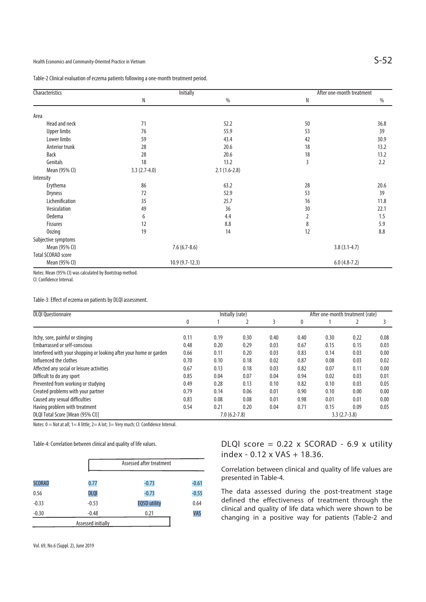Table-2 Clinical evaluation of eczema patients following a one-month treatment period.

| Characteristics           |                  | <b>Initially</b> |    | After one-month treatment |
|---------------------------|------------------|------------------|----|---------------------------|
|                           | N                | $\%$             | Ν  | $\%$                      |
| Area                      |                  |                  |    |                           |
| Head and neck             | 71               | 52.2             | 50 | 36.8                      |
| <b>Upper limbs</b>        | 76               | 55.9             | 53 | 39                        |
| Lower limbs               | 59               | 43.4             | 42 | 30.9                      |
| Anterior trunk            | 28               | 20.6             | 18 | 13.2                      |
| Back                      | 28               | 20.6             | 18 | 13.2                      |
| Genitals                  | 18               | 13.2             | 3  | 2.2                       |
| Mean (95% CI)             | $3.3(2.7-4.0)$   | $2.1(1.6-2.8)$   |    |                           |
| Intensity                 |                  |                  |    |                           |
| Erythema                  | 86               | 63.2             | 28 | 20.6                      |
| <b>Dryness</b>            | 72               | 52.9             | 53 | 39                        |
| Lichenification           | 35               | 25.7             | 16 | 11.8                      |
| Vesiculation              | 49               | 36               | 30 | 22.1                      |
| <b>Oedema</b>             | 6                | 4.4              | 2  | 1.5                       |
| <b>Fissures</b>           | 12               | 8.8              | 8  | 5.9                       |
| <b>Oozing</b>             | 19               | 14               | 12 | 8.8                       |
| Subjective symptoms       |                  |                  |    |                           |
| Mean (95% CI)             | $7.6(6.7-8.6)$   |                  |    | $3.8(3.1-4.7)$            |
| <b>Total SCORAD score</b> |                  |                  |    |                           |
| Mean (95% CI)             | $10.9(9.7-12.3)$ |                  |    | $6.0(4.8-7.2)$            |

Notes: Mean (95% CI) was calculated by Bootstrap method.

CI: Confidence Interval.

Table-3: Effect of eczema on patients by DLQI assessment.

| <b>DLQI Questionnaire</b>                                          | Initially (rate)                   |      |      | After one-month treatment (rate) |      |      |      |      |
|--------------------------------------------------------------------|------------------------------------|------|------|----------------------------------|------|------|------|------|
|                                                                    | 0                                  |      |      | 3                                | 0    |      |      |      |
| Itchy, sore, painful or stinging                                   | 0.11                               | 0.19 | 0.30 | 0.40                             | 0.40 | 0.30 | 0.22 | 0.08 |
| <b>Embarrassed or self-conscious</b>                               | 0.48                               | 0.20 | 0.29 | 0.03                             | 0.67 | 0.15 | 0.15 | 0.03 |
| Interfered with your shopping or looking after your home or garden | 0.66                               | 0.11 | 0.20 | 0.03                             | 0.83 | 0.14 | 0.03 | 0.00 |
| Influenced the clothes                                             | 0.70                               | 0.10 | 0.18 | 0.02                             | 0.87 | 0.08 | 0.03 | 0.02 |
| Affected any social or leisure activities                          | 0.67                               | 0.13 | 0.18 | 0.03                             | 0.82 | 0.07 | 0.11 | 0.00 |
| Difficult to do any sport                                          | 0.85                               | 0.04 | 0.07 | 0.04                             | 0.94 | 0.02 | 0.03 | 0.01 |
| Prevented from working or studying                                 | 0.49                               | 0.28 | 0.13 | 0.10                             | 0.82 | 0.10 | 0.03 | 0.05 |
| Created problems with your partner                                 | 0.79                               | 0.14 | 0.06 | 0.01                             | 0.90 | 0.10 | 0.00 | 0.00 |
| Caused any sexual difficulties                                     | 0.83                               | 0.08 | 0.08 | 0.01                             | 0.98 | 0.01 | 0.01 | 0.00 |
| Having problem with treatment                                      | 0.54                               | 0.21 | 0.20 | 0.04                             | 0.71 | 0.15 | 0.09 | 0.05 |
| DLQI Total Score [Mean (95% CI)]                                   | $3.3(2.7-3.8)$<br>$7.0(6.2 - 7.8)$ |      |      |                                  |      |      |      |      |

Notes: 0 = Not at all; 1 = A little; 2 = A lot; 3 = Very much; CI: Confidence Interval.

Table-4: Correlation between clinical and quality of life values.

|               |                    | Assessed after treatment |         |  |
|---------------|--------------------|--------------------------|---------|--|
| <b>SCORAD</b> | 0.77               | $-0.73$                  | $-0.61$ |  |
| 0.56          | <b>DLQI</b>        | $-0.73$                  | $-0.55$ |  |
| $-0.33$       | $-0.53$            | <b>EQ5D utility</b>      | 0.64    |  |
| $-0.30$       | $-0.48$            | 0.21                     | VAS     |  |
|               | Assessed initially |                          |         |  |

DLQI score =  $0.22$  x SCORAD -  $6.9$  x utility index - 0.12 x VAS + 18.36.

Correlation between clinical and quality of life values are presented in Table-4.

The data assessed during the post-treatment stage defined the effectiveness of treatment through the clinical and quality of life data which were shown to be changing in a positive way for patients (Table-2 and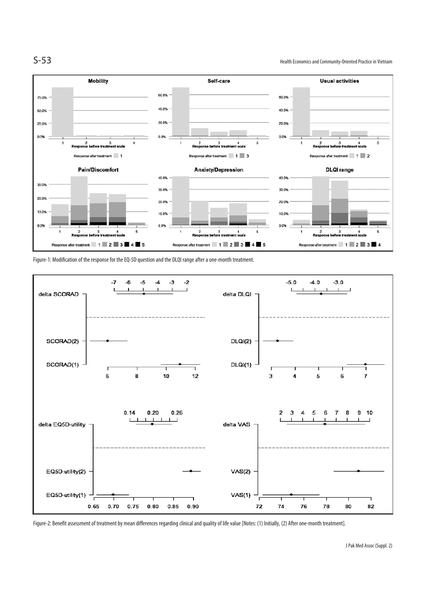

S-53 Health Economics and Community-Oriented Practice in Vietnam



Figure-1: Modification of the response for the EQ-5D question and the DLQI range after a one-month treatment.



Figure-2: Benefit assessment of treatment by mean differences regarding clinical and quality of life value [Notes: (1) Initially, (2) After one-month treatment].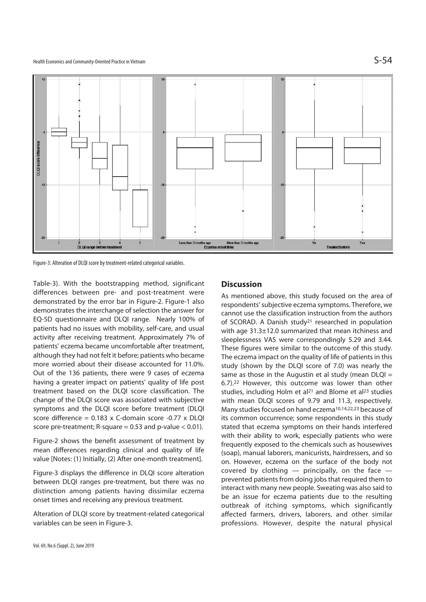

Figure-3: Alteration of DLQI score by treatment-related categorical variables.

Table-3). With the bootstrapping method, significant differences between pre- and post-treatment were demonstrated by the error bar in Figure-2. Figure-1 also demonstrates the interchange of selection the answer for EQ-5D questionnaire and DLQI range. Nearly 100% of patients had no issues with mobility, self-care, and usual activity after receiving treatment. Approximately 7% of patients' eczema became uncomfortable after treatment, although they had not felt it before; patients who became more worried about their disease accounted for 11.0%. Out of the 136 patients, there were 9 cases of eczema having a greater impact on patients' quality of life post treatment based on the DLQI score classification. The change of the DLQI score was associated with subjective symptoms and the DLQI score before treatment (DLQI score difference = 0.183 x C-domain score -0.77 x DLQI score pre-treatment;  $R$ -square = 0.53 and p-value < 0.01).

Figure-2 shows the benefit assessment of treatment by mean differences regarding clinical and quality of life value [Notes: (1) Initially, (2) After one-month treatment].

Figure-3 displays the difference in DLQI score alteration between DLQI ranges pre-treatment, but there was no distinction among patients having dissimilar eczema onset times and receiving any previous treatment.

Alteration of DLQI score by treatment-related categorical variables can be seen in Figure-3.

# **Discussion**

As mentioned above, this study focused on the area of respondents' subjective eczema symptoms. Therefore, we cannot use the classification instruction from the authors of SCORAD. A Danish study21 researched in population with age 31.3±12.0 summarized that mean itchiness and sleeplessness VAS were correspondingly 5.29 and 3.44. These figures were similar to the outcome of this study. The eczema impact on the quality of life of patients in this study (shown by the DLQI score of 7.0) was nearly the same as those in the Augustin et al study (mean  $DLOI =$ 6.7).22 However, this outcome was lower than other studies, including Holm et al<sup>21</sup> and Blome et al<sup>23</sup> studies with mean DLQI scores of 9.79 and 11.3, respectively. Many studies focused on hand eczema<sup>10,14,22,23</sup> because of its common occurrence; some respondents in this study stated that eczema symptoms on their hands interfered with their ability to work, especially patients who were frequently exposed to the chemicals such as housewives (soap), manual laborers, manicurists, hairdressers, and so on. However, eczema on the surface of the body not covered by clothing  $-$  principally, on the face  $$ prevented patients from doing jobs that required them to interact with many new people. Sweating was also said to be an issue for eczema patients due to the resulting outbreak of itching symptoms, which significantly affected farmers, drivers, laborers, and other similar professions. However, despite the natural physical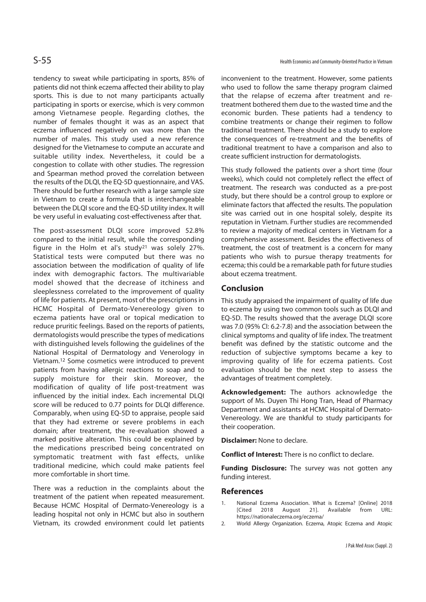tendency to sweat while participating in sports, 85% of patients did not think eczema affected their ability to play sports. This is due to not many participants actually participating in sports or exercise, which is very common among Vietnamese people. Regarding clothes, the number of females thought it was as an aspect that eczema influenced negatively on was more than the number of males. This study used a new reference designed for the Vietnamese to compute an accurate and suitable utility index. Nevertheless, it could be a congestion to collate with other studies. The regression and Spearman method proved the correlation between the results of the DLQI, the EQ-5D questionnaire, and VAS. There should be further research with a large sample size in Vietnam to create a formula that is interchangeable between the DLQI score and the EQ-5D utility index. It will be very useful in evaluating cost-effectiveness after that.

The post-assessment DLQI score improved 52.8% compared to the initial result, while the corresponding figure in the Holm et al's study21 was solely 27%. Statistical tests were computed but there was no association between the modification of quality of life index with demographic factors. The multivariable model showed that the decrease of itchiness and sleeplessness correlated to the improvement of quality of life for patients. At present, most of the prescriptions in HCMC Hospital of Dermato-Venereology given to eczema patients have oral or topical medication to reduce pruritic feelings. Based on the reports of patients, dermatologists would prescribe the types of medications with distinguished levels following the guidelines of the National Hospital of Dermatology and Venerology in Vietnam.12 Some cosmetics were introduced to prevent patients from having allergic reactions to soap and to supply moisture for their skin. Moreover, the modification of quality of life post-treatment was influenced by the initial index. Each incremental DLQI score will be reduced to 0.77 points for DLQI difference. Comparably, when using EQ-5D to appraise, people said that they had extreme or severe problems in each domain; after treatment, the re-evaluation showed a marked positive alteration. This could be explained by the medications prescribed being concentrated on symptomatic treatment with fast effects, unlike traditional medicine, which could make patients feel more comfortable in short time.

There was a reduction in the complaints about the treatment of the patient when repeated measurement. Because HCMC Hospital of Dermato-Venereology is a leading hospital not only in HCMC but also in southern Vietnam, its crowded environment could let patients

inconvenient to the treatment. However, some patients who used to follow the same therapy program claimed that the relapse of eczema after treatment and retreatment bothered them due to the wasted time and the economic burden. These patients had a tendency to combine treatments or change their regimen to follow traditional treatment. There should be a study to explore the consequences of re-treatment and the benefits of traditional treatment to have a comparison and also to create sufficient instruction for dermatologists.

This study followed the patients over a short time (four weeks), which could not completely reflect the effect of treatment. The research was conducted as a pre-post study, but there should be a control group to explore or eliminate factors that affected the results. The population site was carried out in one hospital solely, despite its reputation in Vietnam. Further studies are recommended to review a majority of medical centers in Vietnam for a comprehensive assessment. Besides the effectiveness of treatment, the cost of treatment is a concern for many patients who wish to pursue therapy treatments for eczema; this could be a remarkable path for future studies about eczema treatment.

#### **Conclusion**

This study appraised the impairment of quality of life due to eczema by using two common tools such as DLQI and EQ-5D. The results showed that the average DLQI score was 7.0 (95% CI: 6.2-7.8) and the association between the clinical symptoms and quality of life index. The treatment benefit was defined by the statistic outcome and the reduction of subjective symptoms became a key to improving quality of life for eczema patients. Cost evaluation should be the next step to assess the advantages of treatment completely.

**Acknowledgement:** The authors acknowledge the support of Ms. Duyen Thi Hong Tran, Head of Pharmacy Department and assistants at HCMC Hospital of Dermato-Venereology. We are thankful to study participants for their cooperation.

**Disclaimer:** None to declare.

**Conflict of Interest:** There is no conflict to declare.

**Funding Disclosure:** The survey was not gotten any funding interest.

#### **References**

- 1. National Eczema Association. What is Eczema? [Online] 2018 [Cited 2018 August 21]. Available from URL: https://nationaleczema.org/eczema/
- 2. World Allergy Organization. Eczema, Atopic Eczema and Atopic